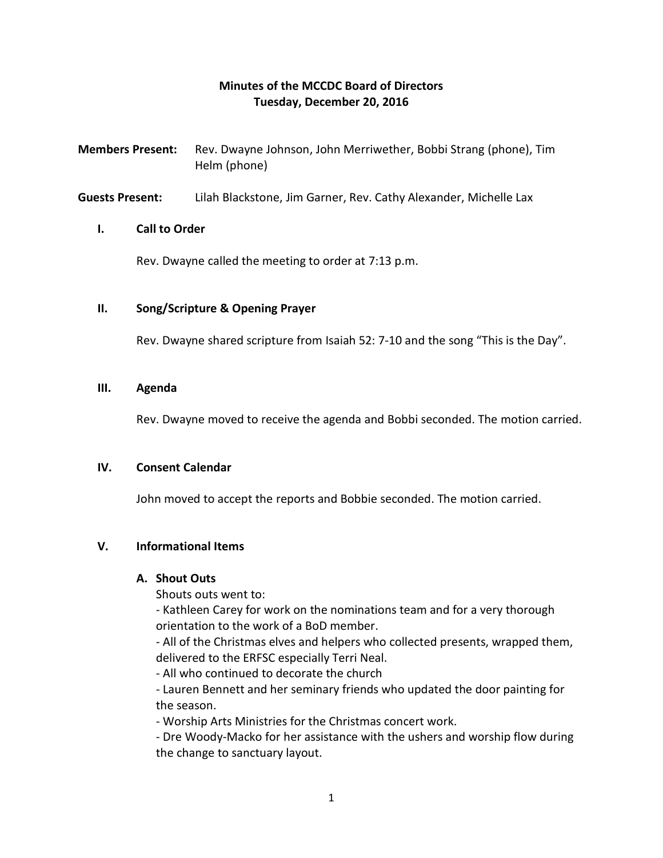## **Minutes of the MCCDC Board of Directors Tuesday, December 20, 2016**

- **Members Present:** Rev. Dwayne Johnson, John Merriwether, Bobbi Strang (phone), Tim Helm (phone)
- **Guests Present:** Lilah Blackstone, Jim Garner, Rev. Cathy Alexander, Michelle Lax

#### **I. Call to Order**

Rev. Dwayne called the meeting to order at 7:13 p.m.

#### **II. Song/Scripture & Opening Prayer**

Rev. Dwayne shared scripture from Isaiah 52: 7-10 and the song "This is the Day".

#### **III. Agenda**

Rev. Dwayne moved to receive the agenda and Bobbi seconded. The motion carried.

#### **IV. Consent Calendar**

John moved to accept the reports and Bobbie seconded. The motion carried.

## **V. Informational Items**

#### **A. Shout Outs**

Shouts outs went to:

- Kathleen Carey for work on the nominations team and for a very thorough orientation to the work of a BoD member.

- All of the Christmas elves and helpers who collected presents, wrapped them, delivered to the ERFSC especially Terri Neal.

- All who continued to decorate the church

- Lauren Bennett and her seminary friends who updated the door painting for the season.

- Worship Arts Ministries for the Christmas concert work.

- Dre Woody-Macko for her assistance with the ushers and worship flow during the change to sanctuary layout.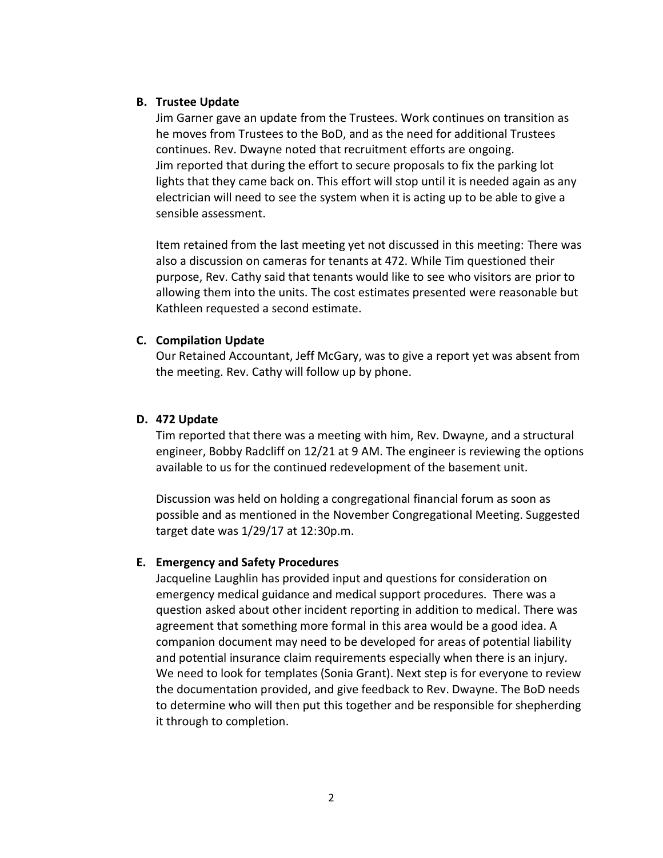#### **B. Trustee Update**

Jim Garner gave an update from the Trustees. Work continues on transition as he moves from Trustees to the BoD, and as the need for additional Trustees continues. Rev. Dwayne noted that recruitment efforts are ongoing. Jim reported that during the effort to secure proposals to fix the parking lot lights that they came back on. This effort will stop until it is needed again as any electrician will need to see the system when it is acting up to be able to give a sensible assessment.

Item retained from the last meeting yet not discussed in this meeting: There was also a discussion on cameras for tenants at 472. While Tim questioned their purpose, Rev. Cathy said that tenants would like to see who visitors are prior to allowing them into the units. The cost estimates presented were reasonable but Kathleen requested a second estimate.

## **C. Compilation Update**

Our Retained Accountant, Jeff McGary, was to give a report yet was absent from the meeting. Rev. Cathy will follow up by phone.

## **D. 472 Update**

Tim reported that there was a meeting with him, Rev. Dwayne, and a structural engineer, Bobby Radcliff on 12/21 at 9 AM. The engineer is reviewing the options available to us for the continued redevelopment of the basement unit.

Discussion was held on holding a congregational financial forum as soon as possible and as mentioned in the November Congregational Meeting. Suggested target date was 1/29/17 at 12:30p.m.

## **E. Emergency and Safety Procedures**

Jacqueline Laughlin has provided input and questions for consideration on emergency medical guidance and medical support procedures. There was a question asked about other incident reporting in addition to medical. There was agreement that something more formal in this area would be a good idea. A companion document may need to be developed for areas of potential liability and potential insurance claim requirements especially when there is an injury. We need to look for templates (Sonia Grant). Next step is for everyone to review the documentation provided, and give feedback to Rev. Dwayne. The BoD needs to determine who will then put this together and be responsible for shepherding it through to completion.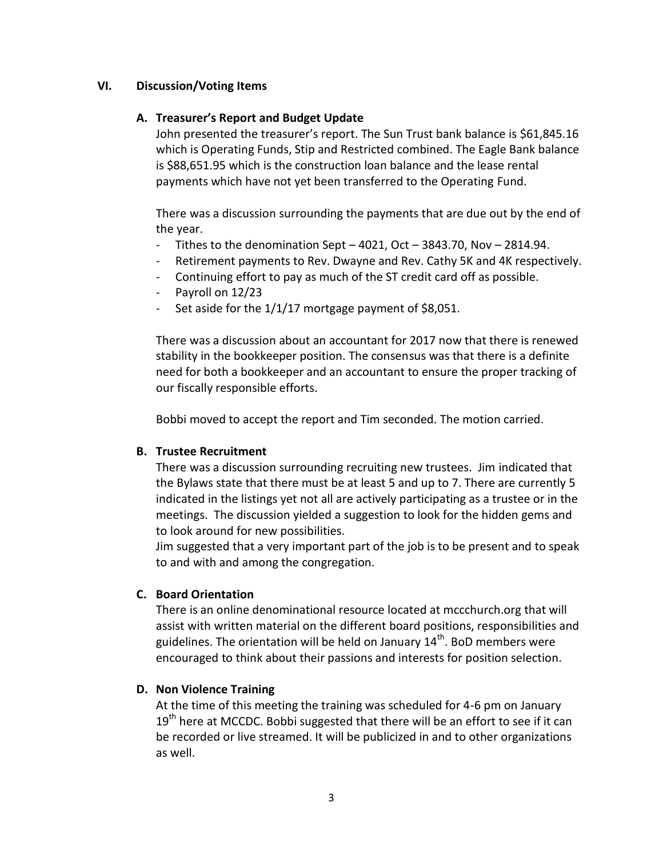## **VI. Discussion/Voting Items**

## **A. Treasurer's Report and Budget Update**

John presented the treasurer's report. The Sun Trust bank balance is \$61,845.16 which is Operating Funds, Stip and Restricted combined. The Eagle Bank balance is \$88,651.95 which is the construction loan balance and the lease rental payments which have not yet been transferred to the Operating Fund.

There was a discussion surrounding the payments that are due out by the end of the year.

- Tithes to the denomination Sept  $-$  4021, Oct  $-$  3843.70, Nov  $-$  2814.94.
- Retirement payments to Rev. Dwayne and Rev. Cathy 5K and 4K respectively.
- Continuing effort to pay as much of the ST credit card off as possible.
- Payroll on 12/23
- Set aside for the 1/1/17 mortgage payment of \$8,051.

There was a discussion about an accountant for 2017 now that there is renewed stability in the bookkeeper position. The consensus was that there is a definite need for both a bookkeeper and an accountant to ensure the proper tracking of our fiscally responsible efforts.

Bobbi moved to accept the report and Tim seconded. The motion carried.

## **B. Trustee Recruitment**

There was a discussion surrounding recruiting new trustees. Jim indicated that the Bylaws state that there must be at least 5 and up to 7. There are currently 5 indicated in the listings yet not all are actively participating as a trustee or in the meetings. The discussion yielded a suggestion to look for the hidden gems and to look around for new possibilities.

Jim suggested that a very important part of the job is to be present and to speak to and with and among the congregation.

## **C. Board Orientation**

There is an online denominational resource located at mccchurch.org that will assist with written material on the different board positions, responsibilities and guidelines. The orientation will be held on January  $14<sup>th</sup>$ . BoD members were encouraged to think about their passions and interests for position selection.

# **D. Non Violence Training**

At the time of this meeting the training was scheduled for 4-6 pm on January  $19<sup>th</sup>$  here at MCCDC. Bobbi suggested that there will be an effort to see if it can be recorded or live streamed. It will be publicized in and to other organizations as well.